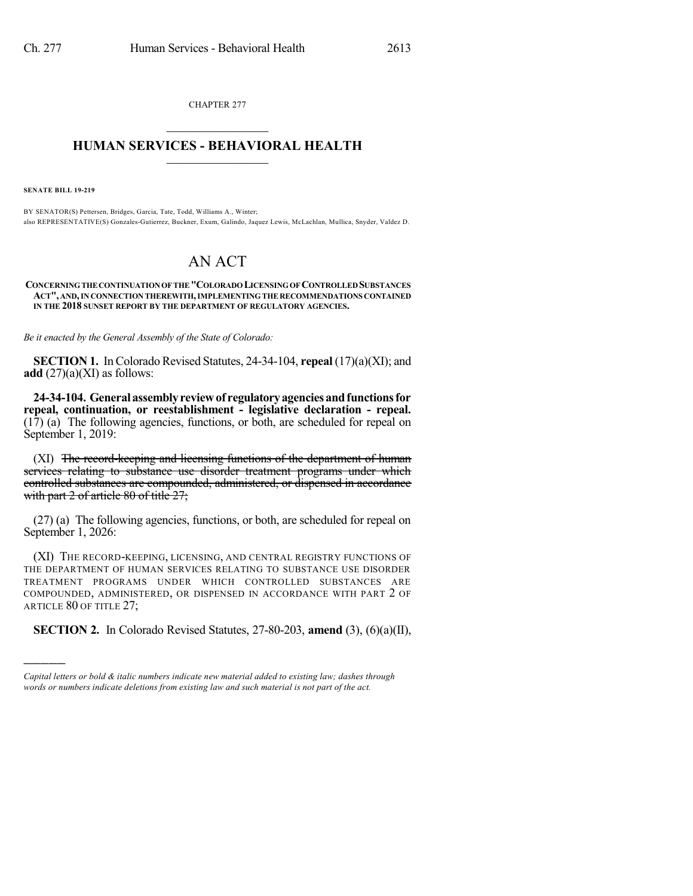CHAPTER 277  $\mathcal{L}_\text{max}$  . The set of the set of the set of the set of the set of the set of the set of the set of the set of the set of the set of the set of the set of the set of the set of the set of the set of the set of the set

## **HUMAN SERVICES - BEHAVIORAL HEALTH**  $\frac{1}{2}$  ,  $\frac{1}{2}$  ,  $\frac{1}{2}$  ,  $\frac{1}{2}$  ,  $\frac{1}{2}$  ,  $\frac{1}{2}$  ,  $\frac{1}{2}$

**SENATE BILL 19-219**

)))))

BY SENATOR(S) Pettersen, Bridges, Garcia, Tate, Todd, Williams A., Winter; also REPRESENTATIVE(S) Gonzales-Gutierrez, Buckner, Exum, Galindo, Jaquez Lewis, McLachlan, Mullica, Snyder, Valdez D.

## AN ACT

**CONCERNINGTHECONTINUATIONOFTHE"COLORADOLICENSINGOFCONTROLLEDSUBSTANCES ACT", AND,IN CONNECTION THEREWITH,IMPLEMENTINGTHERECOMMENDATIONS CONTAINED IN THE 2018 SUNSET REPORT BY THE DEPARTMENT OF REGULATORY AGENCIES.**

*Be it enacted by the General Assembly of the State of Colorado:*

**SECTION 1.** In Colorado Revised Statutes, 24-34-104, **repeal** (17)(a)(XI); and **add**  $(27)(a)(XI)$  as follows:

**24-34-104. Generalassemblyreviewof regulatoryagenciesandfunctionsfor repeal, continuation, or reestablishment - legislative declaration - repeal.** (17) (a) The following agencies, functions, or both, are scheduled for repeal on September 1, 2019:

(XI) The record-keeping and licensing functions of the department of human services relating to substance use disorder treatment programs under which controlled substances are compounded, administered, or dispensed in accordance with part 2 of article 80 of title 27;

(27) (a) The following agencies, functions, or both, are scheduled for repeal on September 1, 2026:

(XI) THE RECORD-KEEPING, LICENSING, AND CENTRAL REGISTRY FUNCTIONS OF THE DEPARTMENT OF HUMAN SERVICES RELATING TO SUBSTANCE USE DISORDER TREATMENT PROGRAMS UNDER WHICH CONTROLLED SUBSTANCES ARE COMPOUNDED, ADMINISTERED, OR DISPENSED IN ACCORDANCE WITH PART 2 OF ARTICLE 80 OF TITLE 27;

**SECTION 2.** In Colorado Revised Statutes, 27-80-203, **amend** (3), (6)(a)(II),

*Capital letters or bold & italic numbers indicate new material added to existing law; dashes through words or numbers indicate deletions from existing law and such material is not part of the act.*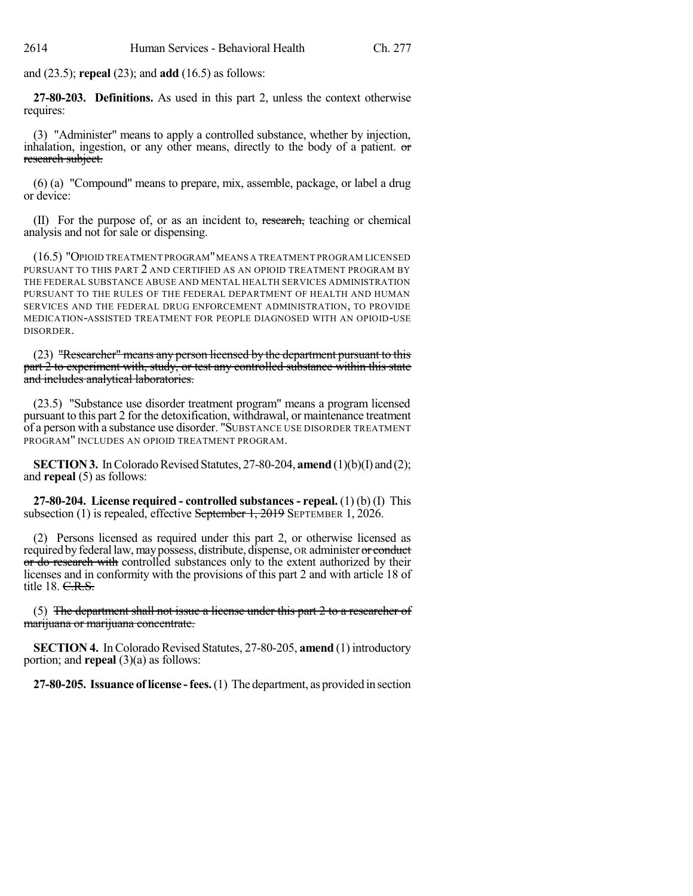and (23.5); **repeal** (23); and **add** (16.5) as follows:

**27-80-203. Definitions.** As used in this part 2, unless the context otherwise requires:

(3) "Administer" means to apply a controlled substance, whether by injection, inhalation, ingestion, or any other means, directly to the body of a patient.  $\sigma$ research subject.

(6) (a) "Compound" means to prepare, mix, assemble, package, or label a drug or device:

(II) For the purpose of, or as an incident to, research, teaching or chemical analysis and not for sale or dispensing.

(16.5) "OPIOID TREATMENT PROGRAM"MEANS A TREATMENT PROGRAM LICENSED PURSUANT TO THIS PART 2 AND CERTIFIED AS AN OPIOID TREATMENT PROGRAM BY THE FEDERAL SUBSTANCE ABUSE AND MENTAL HEALTH SERVICES ADMINISTRATION PURSUANT TO THE RULES OF THE FEDERAL DEPARTMENT OF HEALTH AND HUMAN SERVICES AND THE FEDERAL DRUG ENFORCEMENT ADMINISTRATION, TO PROVIDE MEDICATION-ASSISTED TREATMENT FOR PEOPLE DIAGNOSED WITH AN OPIOID-USE DISORDER.

(23) "Researcher" means any person licensed by the department pursuant to this part 2 to experiment with, study, or test any controlled substance within this state and includes analytical laboratories.

(23.5) "Substance use disorder treatment program" means a program licensed pursuant to this part 2 for the detoxification, withdrawal, or maintenance treatment of a person with a substance use disorder. "SUBSTANCE USE DISORDER TREATMENT PROGRAM" INCLUDES AN OPIOID TREATMENT PROGRAM.

**SECTION 3.** In Colorado Revised Statutes, 27-80-204, **amend** (1)(b)(I) and (2); and **repeal** (5) as follows:

**27-80-204. License required - controlled substances- repeal.** (1) (b) (I) This subsection (1) is repealed, effective September 1, 2019 SEPTEMBER 1, 2026.

(2) Persons licensed as required under this part 2, or otherwise licensed as required by federal law, may possess, distribute, dispense, OR administer or conduct or do research with controlled substances only to the extent authorized by their licenses and in conformity with the provisions of this part 2 and with article 18 of title 18. C.R.S.

(5) The department shall not issue a license under this part 2 to a researcher of marijuana or marijuana concentrate.

**SECTION 4.** In Colorado Revised Statutes, 27-80-205, **amend** (1) introductory portion; and **repeal** (3)(a) as follows:

**27-80-205. Issuance oflicense -fees.**(1) The department, as provided in section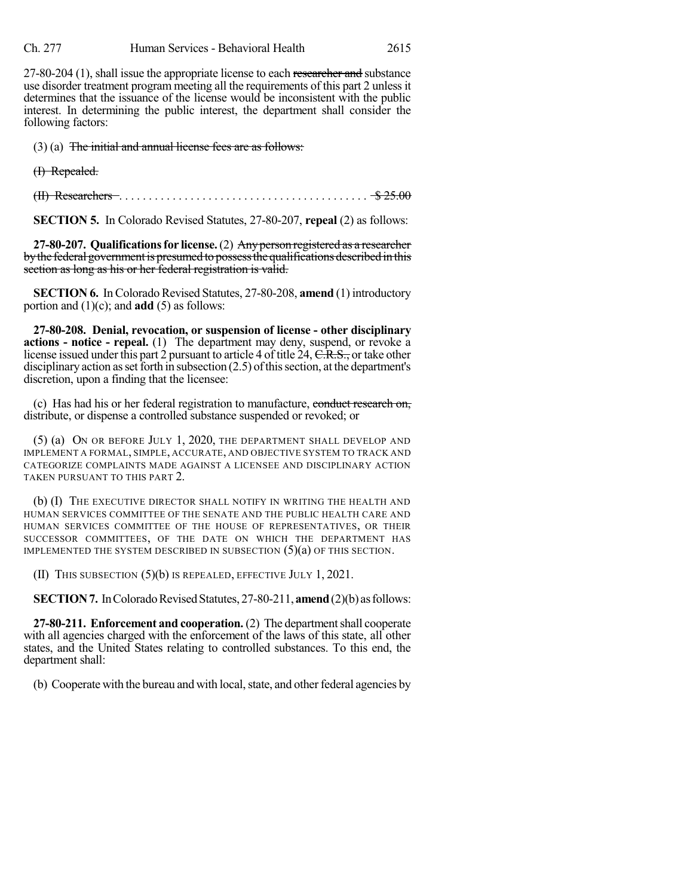27-80-204 (1), shall issue the appropriate license to each researcher and substance use disorder treatment program meeting all the requirements of this part 2 unlessit determines that the issuance of the license would be inconsistent with the public interest. In determining the public interest, the department shall consider the following factors:

(3) (a) The initial and annual license fees are as follows:

(I) Repealed.

(II) Researchers . . . . . . . . . . . . . . . . . . . . . . . . . . . . . . . . . . . . . . . . . . \$ 25.00

**SECTION 5.** In Colorado Revised Statutes, 27-80-207, **repeal** (2) as follows:

**27-80-207. Qualificationsfor license.**(2) Anyperson registered as a researcher by the federal government is presumed to possess the qualifications described in this section as long as his or her federal registration is valid.

**SECTION 6.** In Colorado Revised Statutes, 27-80-208, **amend** (1) introductory portion and (1)(c); and **add** (5) as follows:

**27-80-208. Denial, revocation, or suspension of license - other disciplinary actions - notice - repeal.** (1) The department may deny, suspend, or revoke a license issued under this part 2 pursuant to article 4 of title 24, C.R.S., or take other disciplinary action as set forth in subsection  $(2.5)$  of this section, at the department's discretion, upon a finding that the licensee:

(c) Has had his or her federal registration to manufacture, conduct research on, distribute, or dispense a controlled substance suspended or revoked; or

(5) (a) ON OR BEFORE JULY 1, 2020, THE DEPARTMENT SHALL DEVELOP AND IMPLEMENT A FORMAL, SIMPLE, ACCURATE, AND OBJECTIVE SYSTEM TO TRACK AND CATEGORIZE COMPLAINTS MADE AGAINST A LICENSEE AND DISCIPLINARY ACTION TAKEN PURSUANT TO THIS PART 2.

(b) (I) THE EXECUTIVE DIRECTOR SHALL NOTIFY IN WRITING THE HEALTH AND HUMAN SERVICES COMMITTEE OF THE SENATE AND THE PUBLIC HEALTH CARE AND HUMAN SERVICES COMMITTEE OF THE HOUSE OF REPRESENTATIVES, OR THEIR SUCCESSOR COMMITTEES, OF THE DATE ON WHICH THE DEPARTMENT HAS IMPLEMENTED THE SYSTEM DESCRIBED IN SUBSECTION  $(5)(a)$  OF THIS SECTION.

(II) THIS SUBSECTION (5)(b) IS REPEALED, EFFECTIVE JULY 1, 2021.

**SECTION 7.** In Colorado Revised Statutes, 27-80-211, **amend** (2)(b) as follows:

**27-80-211. Enforcement and cooperation.** (2) The departmentshall cooperate with all agencies charged with the enforcement of the laws of this state, all other states, and the United States relating to controlled substances. To this end, the department shall:

(b) Cooperate with the bureau and with local, state, and other federal agencies by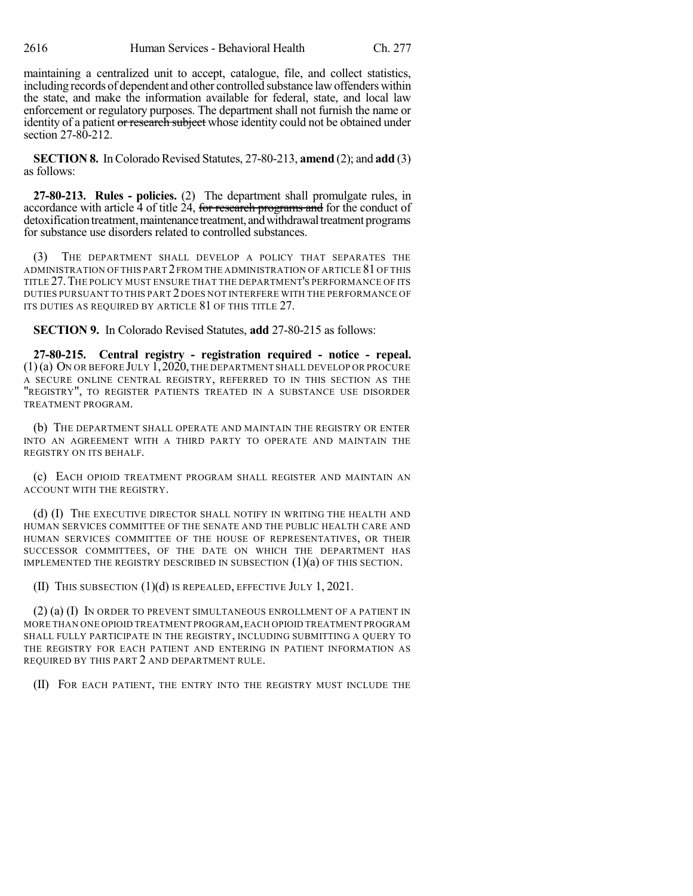maintaining a centralized unit to accept, catalogue, file, and collect statistics, including records of dependent and other controlled substance lawoffenders within the state, and make the information available for federal, state, and local law enforcement or regulatory purposes. The department shall not furnish the name or identity of a patient or research subject whose identity could not be obtained under section 27-80-212.

**SECTION 8.** In Colorado Revised Statutes, 27-80-213, **amend** (2); and **add** (3) as follows:

**27-80-213. Rules - policies.** (2) The department shall promulgate rules, in accordance with article  $\overline{4}$  of title  $\overline{24}$ , for research programs and for the conduct of detoxification treatment, maintenance treatment, and withdrawal treatment programs for substance use disorders related to controlled substances.

(3) THE DEPARTMENT SHALL DEVELOP A POLICY THAT SEPARATES THE ADMINISTRATION OF THIS PART 2 FROM THE ADMINISTRATION OF ARTICLE 81 OF THIS TITLE 27.THE POLICY MUST ENSURE THAT THE DEPARTMENT'S PERFORMANCE OF ITS DUTIES PURSUANT TO THIS PART 2 DOES NOT INTERFERE WITH THE PERFORMANCE OF ITS DUTIES AS REQUIRED BY ARTICLE 81 OF THIS TITLE 27.

**SECTION 9.** In Colorado Revised Statutes, **add** 27-80-215 as follows:

**27-80-215. Central registry - registration required - notice - repeal.** (1)(a) ON OR BEFORE JULY 1,2020,THE DEPARTMENT SHALL DEVELOP OR PROCURE A SECURE ONLINE CENTRAL REGISTRY, REFERRED TO IN THIS SECTION AS THE "REGISTRY", TO REGISTER PATIENTS TREATED IN A SUBSTANCE USE DISORDER TREATMENT PROGRAM.

(b) THE DEPARTMENT SHALL OPERATE AND MAINTAIN THE REGISTRY OR ENTER INTO AN AGREEMENT WITH A THIRD PARTY TO OPERATE AND MAINTAIN THE REGISTRY ON ITS BEHALF.

(c) EACH OPIOID TREATMENT PROGRAM SHALL REGISTER AND MAINTAIN AN ACCOUNT WITH THE REGISTRY.

(d) (I) THE EXECUTIVE DIRECTOR SHALL NOTIFY IN WRITING THE HEALTH AND HUMAN SERVICES COMMITTEE OF THE SENATE AND THE PUBLIC HEALTH CARE AND HUMAN SERVICES COMMITTEE OF THE HOUSE OF REPRESENTATIVES, OR THEIR SUCCESSOR COMMITTEES, OF THE DATE ON WHICH THE DEPARTMENT HAS IMPLEMENTED THE REGISTRY DESCRIBED IN SUBSECTION (1)(a) OF THIS SECTION.

(II) THIS SUBSECTION (1)(d) IS REPEALED, EFFECTIVE JULY 1, 2021.

(2) (a) (I) IN ORDER TO PREVENT SIMULTANEOUS ENROLLMENT OF A PATIENT IN MORE THAN ONE OPIOID TREATMENT PROGRAM,EACH OPIOID TREATMENT PROGRAM SHALL FULLY PARTICIPATE IN THE REGISTRY, INCLUDING SUBMITTING A QUERY TO THE REGISTRY FOR EACH PATIENT AND ENTERING IN PATIENT INFORMATION AS REQUIRED BY THIS PART 2 AND DEPARTMENT RULE.

(II) FOR EACH PATIENT, THE ENTRY INTO THE REGISTRY MUST INCLUDE THE